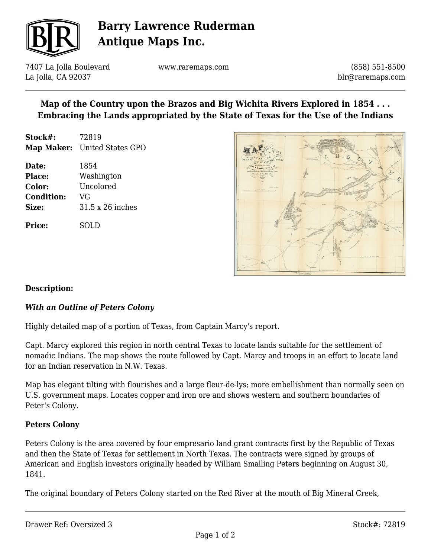

# **Barry Lawrence Ruderman Antique Maps Inc.**

7407 La Jolla Boulevard La Jolla, CA 92037

www.raremaps.com

(858) 551-8500 blr@raremaps.com

# **Map of the Country upon the Brazos and Big Wichita Rivers Explored in 1854 . . . Embracing the Lands appropriated by the State of Texas for the Use of the Indians**

- **Stock#:** 72819 **Map Maker:** United States GPO
- **Date:** 1854 **Place:** Washington **Color:** Uncolored **Condition:** VG **Size:** 31.5 x 26 inches

**Price:** SOLD



## **Description:**

## *With an Outline of Peters Colony*

Highly detailed map of a portion of Texas, from Captain Marcy's report.

Capt. Marcy explored this region in north central Texas to locate lands suitable for the settlement of nomadic Indians. The map shows the route followed by Capt. Marcy and troops in an effort to locate land for an Indian reservation in N.W. Texas.

Map has elegant tilting with flourishes and a large fleur-de-lys; more embellishment than normally seen on U.S. government maps. Locates copper and iron ore and shows western and southern boundaries of Peter's Colony.

#### **Peters Colony**

Peters Colony is the area covered by four empresario land grant contracts first by the Republic of Texas and then the State of Texas for settlement in North Texas. The contracts were signed by groups of American and English investors originally headed by William Smalling Peters beginning on August 30, 1841.

The original boundary of Peters Colony started on the Red River at the mouth of Big Mineral Creek,